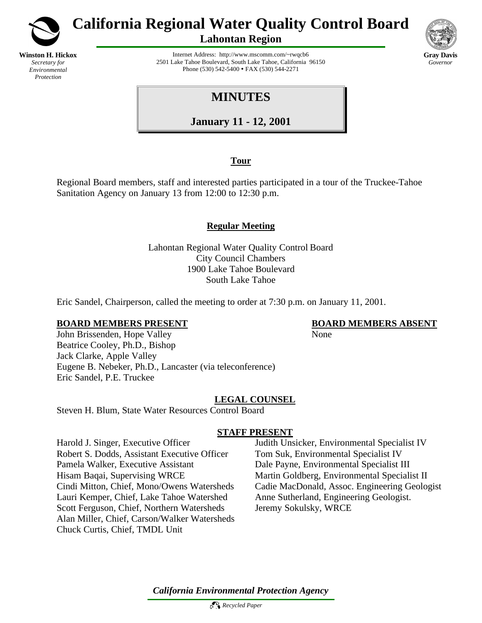

*Secretary for Environmental Protection*

**California Regional Water Quality Control Board**

**Lahontan Region**

**Gray Davis** *Governor*

Internet Address: http://www.mscomm.com/~rwqcb6 2501 Lake Tahoe Boulevard, South Lake Tahoe, California 96150 Phone (530) 542-5400 • FAX (530) 544-2271

# **MINUTES**

**January 11 - 12, 2001**

# **Tour**

Regional Board members, staff and interested parties participated in a tour of the Truckee-Tahoe Sanitation Agency on January 13 from 12:00 to 12:30 p.m.

# **Regular Meeting**

Lahontan Regional Water Quality Control Board City Council Chambers 1900 Lake Tahoe Boulevard South Lake Tahoe

Eric Sandel, Chairperson, called the meeting to order at 7:30 p.m. on January 11, 2001.

### **BOARD MEMBERS PRESENT BOARD MEMBERS ABSENT**

John Brissenden, Hope Valley None Beatrice Cooley, Ph.D., Bishop Jack Clarke, Apple Valley Eugene B. Nebeker, Ph.D., Lancaster (via teleconference) Eric Sandel, P.E. Truckee

# **LEGAL COUNSEL**

Steven H. Blum, State Water Resources Control Board

# **STAFF PRESENT**

Harold J. Singer, Executive Officer Judith Unsicker, Environmental Specialist IV Robert S. Dodds, Assistant Executive Officer Tom Suk, Environmental Specialist IV Pamela Walker, Executive Assistant Dale Payne, Environmental Specialist III Hisam Baqai, Supervising WRCE Martin Goldberg, Environmental Specialist II Lauri Kemper, Chief, Lake Tahoe Watershed Anne Sutherland, Engineering Geologist. Scott Ferguson, Chief, Northern Watersheds Jeremy Sokulsky, WRCE Alan Miller, Chief, Carson/Walker Watersheds Chuck Curtis, Chief, TMDL Unit

Cindi Mitton, Chief, Mono/Owens Watersheds Cadie MacDonald, Assoc. Engineering Geologist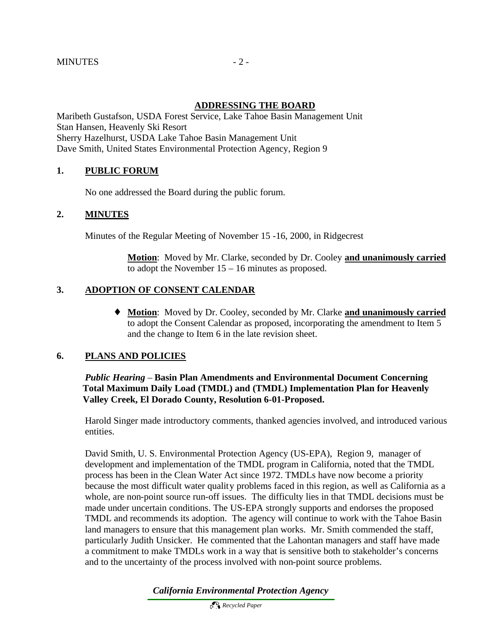#### **ADDRESSING THE BOARD**

Maribeth Gustafson, USDA Forest Service, Lake Tahoe Basin Management Unit Stan Hansen, Heavenly Ski Resort Sherry Hazelhurst, USDA Lake Tahoe Basin Management Unit Dave Smith, United States Environmental Protection Agency, Region 9

#### **1. PUBLIC FORUM**

No one addressed the Board during the public forum.

#### **2. MINUTES**

Minutes of the Regular Meeting of November 15 -16, 2000, in Ridgecrest

**Motion**: Moved by Mr. Clarke, seconded by Dr. Cooley **and unanimously carried** to adopt the November 15 – 16 minutes as proposed.

#### **3. ADOPTION OF CONSENT CALENDAR**

♦ **Motion**: Moved by Dr. Cooley, seconded by Mr. Clarke **and unanimously carried**  to adopt the Consent Calendar as proposed, incorporating the amendment to Item 5 and the change to Item 6 in the late revision sheet.

#### **6. PLANS AND POLICIES**

#### *Public Hearing* – **Basin Plan Amendments and Environmental Document Concerning** **Total Maximum Daily Load (TMDL) and (TMDL) Implementation Plan for Heavenly Valley Creek, El Dorado County, Resolution 6-01-Proposed.**

Harold Singer made introductory comments, thanked agencies involved, and introduced various entities.

David Smith, U. S. Environmental Protection Agency (US-EPA), Region 9, manager of development and implementation of the TMDL program in California, noted that the TMDL process has been in the Clean Water Act since 1972. TMDLs have now become a priority because the most difficult water quality problems faced in this region, as well as California as a whole, are non-point source run-off issues. The difficulty lies in that TMDL decisions must be made under uncertain conditions. The US-EPA strongly supports and endorses the proposed TMDL and recommends its adoption. The agency will continue to work with the Tahoe Basin land managers to ensure that this management plan works. Mr. Smith commended the staff, particularly Judith Unsicker. He commented that the Lahontan managers and staff have made a commitment to make TMDLs work in a way that is sensitive both to stakeholder's concerns and to the uncertainty of the process involved with non-point source problems.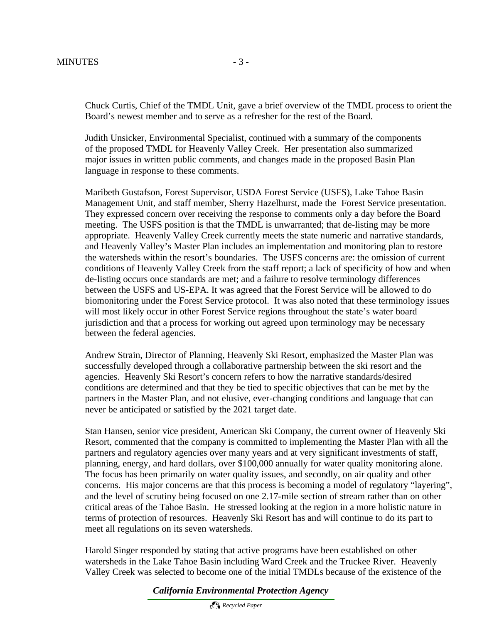Chuck Curtis, Chief of the TMDL Unit, gave a brief overview of the TMDL process to orient the Board's newest member and to serve as a refresher for the rest of the Board.

Judith Unsicker, Environmental Specialist, continued with a summary of the components of the proposed TMDL for Heavenly Valley Creek. Her presentation also summarized major issues in written public comments, and changes made in the proposed Basin Plan language in response to these comments.

Maribeth Gustafson, Forest Supervisor, USDA Forest Service (USFS), Lake Tahoe Basin Management Unit, and staff member, Sherry Hazelhurst, made the Forest Service presentation. They expressed concern over receiving the response to comments only a day before the Board meeting. The USFS position is that the TMDL is unwarranted; that de-listing may be more appropriate. Heavenly Valley Creek currently meets the state numeric and narrative standards, and Heavenly Valley's Master Plan includes an implementation and monitoring plan to restore the watersheds within the resort's boundaries. The USFS concerns are: the omission of current conditions of Heavenly Valley Creek from the staff report; a lack of specificity of how and when de-listing occurs once standards are met; and a failure to resolve terminology differences between the USFS and US-EPA. It was agreed that the Forest Service will be allowed to do biomonitoring under the Forest Service protocol. It was also noted that these terminology issues will most likely occur in other Forest Service regions throughout the state's water board jurisdiction and that a process for working out agreed upon terminology may be necessary between the federal agencies.

Andrew Strain, Director of Planning, Heavenly Ski Resort, emphasized the Master Plan was successfully developed through a collaborative partnership between the ski resort and the agencies. Heavenly Ski Resort's concern refers to how the narrative standards/desired conditions are determined and that they be tied to specific objectives that can be met by the partners in the Master Plan, and not elusive, ever-changing conditions and language that can never be anticipated or satisfied by the 2021 target date.

Stan Hansen, senior vice president, American Ski Company, the current owner of Heavenly Ski Resort, commented that the company is committed to implementing the Master Plan with all the partners and regulatory agencies over many years and at very significant investments of staff, planning, energy, and hard dollars, over \$100,000 annually for water quality monitoring alone. The focus has been primarily on water quality issues, and secondly, on air quality and other concerns. His major concerns are that this process is becoming a model of regulatory "layering", and the level of scrutiny being focused on one 2.17-mile section of stream rather than on other critical areas of the Tahoe Basin. He stressed looking at the region in a more holistic nature in terms of protection of resources. Heavenly Ski Resort has and will continue to do its part to meet all regulations on its seven watersheds.

Harold Singer responded by stating that active programs have been established on other watersheds in the Lake Tahoe Basin including Ward Creek and the Truckee River. Heavenly Valley Creek was selected to become one of the initial TMDLs because of the existence of the

*California Environmental Protection Agency*

 *Recycled Paper*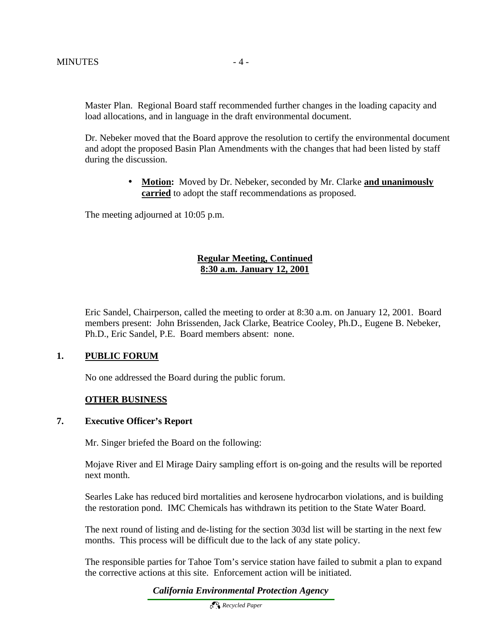Master Plan. Regional Board staff recommended further changes in the loading capacity and load allocations, and in language in the draft environmental document.

Dr. Nebeker moved that the Board approve the resolution to certify the environmental document and adopt the proposed Basin Plan Amendments with the changes that had been listed by staff during the discussion.

> • **Motion:** Moved by Dr. Nebeker, seconded by Mr. Clarke **and unanimously carried** to adopt the staff recommendations as proposed.

The meeting adjourned at 10:05 p.m.

#### **Regular Meeting, Continued 8:30 a.m. January 12, 2001**

Eric Sandel, Chairperson, called the meeting to order at 8:30 a.m. on January 12, 2001. Board members present: John Brissenden, Jack Clarke, Beatrice Cooley, Ph.D., Eugene B. Nebeker, Ph.D., Eric Sandel, P.E. Board members absent: none.

#### **1. PUBLIC FORUM**

No one addressed the Board during the public forum.

#### **OTHER BUSINESS**

#### **7. Executive Officer's Report**

Mr. Singer briefed the Board on the following:

Mojave River and El Mirage Dairy sampling effort is on-going and the results will be reported next month.

Searles Lake has reduced bird mortalities and kerosene hydrocarbon violations, and is building the restoration pond. IMC Chemicals has withdrawn its petition to the State Water Board.

The next round of listing and de-listing for the section 303d list will be starting in the next few months. This process will be difficult due to the lack of any state policy.

The responsible parties for Tahoe Tom's service station have failed to submit a plan to expand the corrective actions at this site. Enforcement action will be initiated.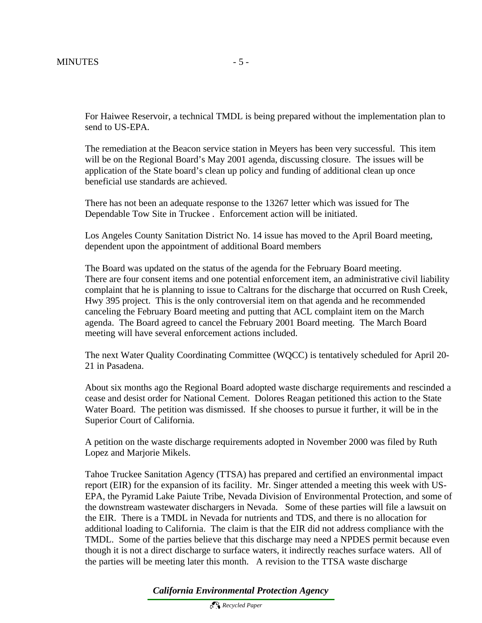For Haiwee Reservoir, a technical TMDL is being prepared without the implementation plan to send to US-EPA.

The remediation at the Beacon service station in Meyers has been very successful. This item will be on the Regional Board's May 2001 agenda, discussing closure. The issues will be application of the State board's clean up policy and funding of additional clean up once beneficial use standards are achieved.

There has not been an adequate response to the 13267 letter which was issued for The Dependable Tow Site in Truckee . Enforcement action will be initiated.

Los Angeles County Sanitation District No. 14 issue has moved to the April Board meeting, dependent upon the appointment of additional Board members

The Board was updated on the status of the agenda for the February Board meeting. There are four consent items and one potential enforcement item, an administrative civil liability complaint that he is planning to issue to Caltrans for the discharge that occurred on Rush Creek, Hwy 395 project. This is the only controversial item on that agenda and he recommended canceling the February Board meeting and putting that ACL complaint item on the March agenda. The Board agreed to cancel the February 2001 Board meeting. The March Board meeting will have several enforcement actions included.

The next Water Quality Coordinating Committee (WQCC) is tentatively scheduled for April 20- 21 in Pasadena.

About six months ago the Regional Board adopted waste discharge requirements and rescinded a cease and desist order for National Cement. Dolores Reagan petitioned this action to the State Water Board. The petition was dismissed. If she chooses to pursue it further, it will be in the Superior Court of California.

A petition on the waste discharge requirements adopted in November 2000 was filed by Ruth Lopez and Marjorie Mikels.

Tahoe Truckee Sanitation Agency (TTSA) has prepared and certified an environmental impact report (EIR) for the expansion of its facility. Mr. Singer attended a meeting this week with US-EPA, the Pyramid Lake Paiute Tribe, Nevada Division of Environmental Protection, and some of the downstream wastewater dischargers in Nevada. Some of these parties will file a lawsuit on the EIR. There is a TMDL in Nevada for nutrients and TDS, and there is no allocation for additional loading to California. The claim is that the EIR did not address compliance with the TMDL. Some of the parties believe that this discharge may need a NPDES permit because even though it is not a direct discharge to surface waters, it indirectly reaches surface waters. All of the parties will be meeting later this month. A revision to the TTSA waste discharge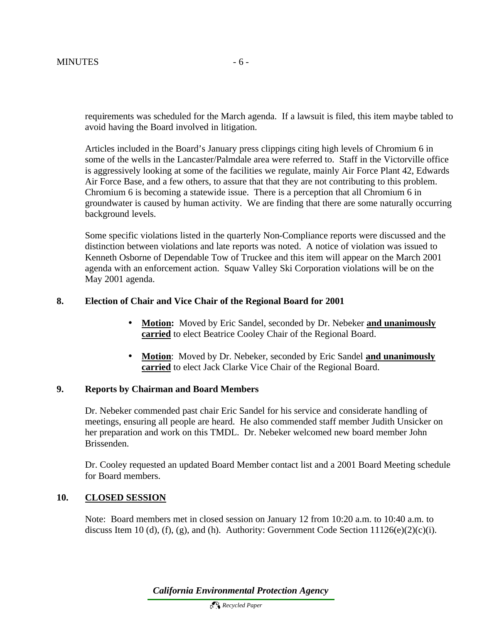requirements was scheduled for the March agenda. If a lawsuit is filed, this item maybe tabled to avoid having the Board involved in litigation.

Articles included in the Board's January press clippings citing high levels of Chromium 6 in some of the wells in the Lancaster/Palmdale area were referred to. Staff in the Victorville office is aggressively looking at some of the facilities we regulate, mainly Air Force Plant 42, Edwards Air Force Base, and a few others, to assure that that they are not contributing to this problem. Chromium 6 is becoming a statewide issue. There is a perception that all Chromium 6 in groundwater is caused by human activity. We are finding that there are some naturally occurring background levels.

Some specific violations listed in the quarterly Non-Compliance reports were discussed and the distinction between violations and late reports was noted. A notice of violation was issued to Kenneth Osborne of Dependable Tow of Truckee and this item will appear on the March 2001 agenda with an enforcement action. Squaw Valley Ski Corporation violations will be on the May 2001 agenda.

### **8. Election of Chair and Vice Chair of the Regional Board for 2001**

- **Motion:** Moved by Eric Sandel, seconded by Dr. Nebeker **and unanimously carried** to elect Beatrice Cooley Chair of the Regional Board.
- **Motion**: Moved by Dr. Nebeker, seconded by Eric Sandel **and unanimously carried** to elect Jack Clarke Vice Chair of the Regional Board.

### **9. Reports by Chairman and Board Members**

Dr. Nebeker commended past chair Eric Sandel for his service and considerate handling of meetings, ensuring all people are heard. He also commended staff member Judith Unsicker on her preparation and work on this TMDL. Dr. Nebeker welcomed new board member John Brissenden.

Dr. Cooley requested an updated Board Member contact list and a 2001 Board Meeting schedule for Board members.

#### **10. CLOSED SESSION**

Note: Board members met in closed session on January 12 from 10:20 a.m. to 10:40 a.m. to discuss Item 10 (d), (f), (g), and (h). Authority: Government Code Section  $11126(e)(2)(c)(i)$ .